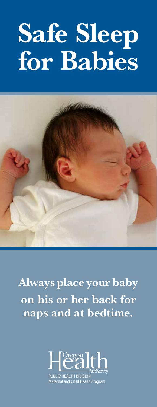# Safe Sleep for Babies



Always place your baby on his or her back for naps and at bedtime.



Maternal and Child Health Program